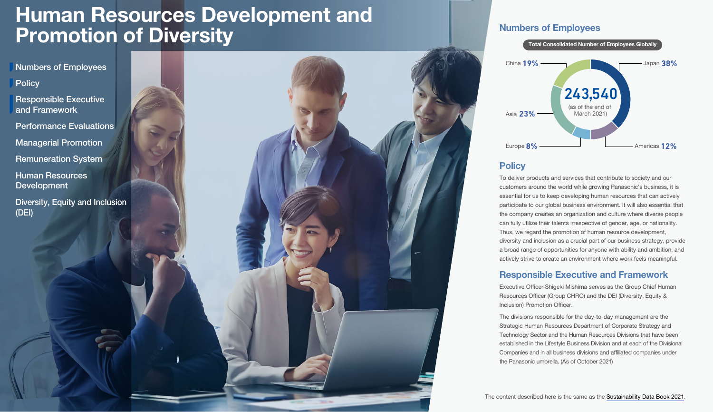<span id="page-0-0"></span>Numbers of Employees

**Policy** 

Responsible Executive and Framework

[Performance Evaluations](#page-1-0)

[Managerial Promotion](#page-1-0)

[Remuneration System](#page-1-0)

[Human Resources](#page-1-0)  Development

[Diversity, Equity and Inclusion](#page-3-0) (DEI)



## Numbers of Employees



## **Policy**

To deliver products and services that contribute to society and our customers around the world while growing Panasonic's business, it is essential for us to keep developing human resources that can actively participate to our global business environment. It will also essential that the company creates an organization and culture where diverse people can fully utilize their talents irrespective of gender, age, or nationality. Thus, we regard the promotion of human resource development, diversity and inclusion as a crucial part of our business strategy, provide a broad range of opportunities for anyone with ability and ambition, and actively strive to create an environment where work feels meaningful.

## Responsible Executive and Framework

Executive Officer Shigeki Mishima serves as the Group Chief Human Resources Officer (Group CHRO) and the DEI (Diversity, Equity & Inclusion) Promotion Officer.

The divisions responsible for the day-to-day management are the Strategic Human Resources Department of Corporate Strategy and Technology Sector and the Human Resources Divisions that have been established in the Lifestyle Business Division and at each of the Divisional Companies and in all business divisions and affiliated companies under the Panasonic umbrella. (As of October 2021)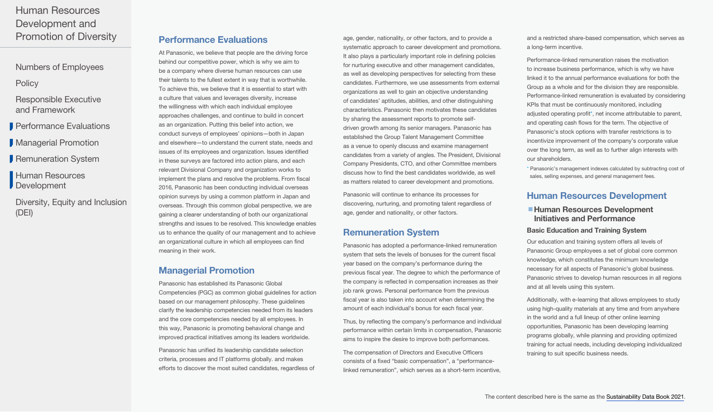<span id="page-1-0"></span>[Numbers of Employees](#page-0-0)

**[Policy](#page-0-0)** 

[Responsible Executive](#page-0-0)  and Framework

**Performance Evaluations** 

**Managerial Promotion** 

Remuneration System

Human Resources **Development** 

[Diversity, Equity and Inclusion](#page-3-0) (DEI)

## Performance Evaluations

At Panasonic, we believe that people are the driving force behind our competitive power, which is why we aim to be a company where diverse human resources can use their talents to the fullest extent in way that is worthwhile. To achieve this, we believe that it is essential to start with a culture that values and leverages diversity, increase the willingness with which each individual employee approaches challenges, and continue to build in concert as an organization. Putting this belief into action, we conduct surveys of employees' opinions—both in Japan and elsewhere—to understand the current state, needs and issues of its employees and organization. Issues identified in these surveys are factored into action plans, and each relevant Divisional Company and organization works to implement the plans and resolve the problems. From fiscal 2016, Panasonic has been conducting individual overseas opinion surveys by using a common platform in Japan and overseas. Through this common global perspective, we are gaining a clearer understanding of both our organizational strengths and issues to be resolved. This knowledge enables us to enhance the quality of our management and to achieve an organizational culture in which all employees can find meaning in their work.

## Managerial Promotion

Panasonic has established its Panasonic Global Competencies (PGC) as common global guidelines for action based on our management philosophy. These guidelines clarify the leadership competencies needed from its leaders and the core competencies needed by all employees. In this way, Panasonic is promoting behavioral change and improved practical initiatives among its leaders worldwide.

Panasonic has unified its leadership candidate selection criteria, processes and IT platforms globally. and makes efforts to discover the most suited candidates, regardless of age, gender, nationality, or other factors, and to provide a systematic approach to career development and promotions. It also plays a particularly important role in defining policies for nurturing executive and other management candidates, as well as developing perspectives for selecting from these candidates. Furthermore, we use assessments from external organizations as well to gain an objective understanding of candidates' aptitudes, abilities, and other distinguishing characteristics. Panasonic then motivates these candidates by sharing the assessment reports to promote selfdriven growth among its senior managers. Panasonic has established the Group Talent Management Committee as a venue to openly discuss and examine management candidates from a variety of angles. The President, Divisional Company Presidents, CTO, and other Committee members discuss how to find the best candidates worldwide, as well as matters related to career development and promotions.

Panasonic will continue to enhance its processes for discovering, nurturing, and promoting talent regardless of age, gender and nationality, or other factors.

## Remuneration System

Panasonic has adopted a performance-linked remuneration system that sets the levels of bonuses for the current fiscal year based on the company's performance during the previous fiscal year. The degree to which the performance of the company is reflected in compensation increases as their job rank grows. Personal performance from the previous fiscal year is also taken into account when determining the amount of each individual's bonus for each fiscal year.

Thus, by reflecting the company's performance and individual performance within certain limits in compensation, Panasonic aims to inspire the desire to improve both performances.

The compensation of Directors and Executive Officers consists of a fixed "basic compensation", a "performancelinked remuneration", which serves as a short-term incentive,

and a restricted share-based compensation, which serves as a long-term incentive.

Performance-linked remuneration raises the motivation to increase business performance, which is why we have linked it to the annual performance evaluations for both the Group as a whole and for the division they are responsible. Performance-linked remuneration is evaluated by considering KPIs that must be continuously monitored, including adjusted operating profit\*, net income attributable to parent, and operating cash flows for the term. The objective of Panasonic's stock options with transfer restrictions is to incentivize improvement of the company's corporate value over the long term, as well as to further align interests with our shareholders.

\* Panasonic's management indexes calculated by subtracting cost of sales, selling expenses, and general management fees.

## Human Resources Development

■ Human Resources Development Initiatives and Performance

#### Basic Education and Training System

Our education and training system offers all levels of Panasonic Group employees a set of global core common knowledge, which constitutes the minimum knowledge necessary for all aspects of Panasonic's global business. Panasonic strives to develop human resources in all regions and at all levels using this system.

Additionally, with e-learning that allows employees to study using high-quality materials at any time and from anywhere in the world and a full lineup of other online learning opportunities, Panasonic has been developing learning programs globally, while planning and providing optimized training for actual needs, including developing individualized training to suit specific business needs.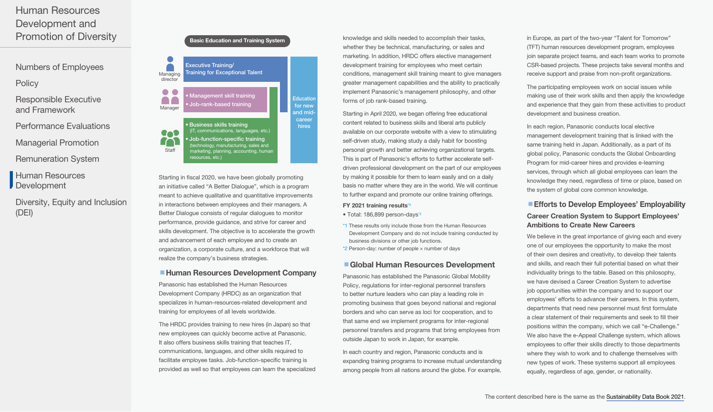[Numbers of Employees](#page-0-0)

**[Policy](#page-0-0)** 

- [Responsible Executive](#page-0-0)  and Framework
- [Performance Evaluations](#page-1-0)
- [Managerial Promotion](#page-1-0)
- [Remuneration System](#page-1-0)
- [Human Resources](#page-1-0)  **Development**
- [Diversity, Equity and Inclusion](#page-3-0) (DEI)





Starting in fiscal 2020, we have been globally promoting an initiative called "A Better Dialogue", which is a program meant to achieve qualitative and quantitative improvements in interactions between employees and their managers. A Better Dialogue consists of regular dialogues to monitor performance, provide guidance, and strive for career and skills development. The objective is to accelerate the growth and advancement of each employee and to create an organization, a corporate culture, and a workforce that will realize the company's business strategies.

#### ■ Human Resources Development Company

Panasonic has established the Human Resources Development Company (HRDC) as an organization that specializes in human-resources-related development and training for employees of all levels worldwide.

The HRDC provides training to new hires (in Japan) so that new employees can quickly become active at Panasonic. It also offers business skills training that teaches IT. communications, languages, and other skills required to facilitate employee tasks. Job-function-specific training is provided as well so that employees can learn the specialized knowledge and skills needed to accomplish their tasks, whether they be technical, manufacturing, or sales and marketing. In addition, HRDC offers elective management development training for employees who meet certain conditions, management skill training meant to give managers greater management capabilities and the ability to practically implement Panasonic's management philosophy, and other forms of job rank-based training.

Starting in April 2020, we began offering free educational content related to business skills and liberal arts publicly available on our corporate website with a view to stimulating self-driven study, making study a daily habit for boosting personal growth and better achieving organizational targets. This is part of Panasonic's efforts to further accelerate selfdriven professional development on the part of our employees by making it possible for them to learn easily and on a daily basis no matter where they are in the world. We will continue to further expand and promote our online training offerings.

#### FY 2021 training results\*1

- Total: 186,899 person-days\*2
- \*1 These results only include those from the Human Resources Development Company and do not include training conducted by business divisions or other job functions.
- $*2$  Person-day: number of people  $\times$  number of days

#### ■ Global Human Resources Development

Panasonic has established the Panasonic Global Mobility Policy, regulations for inter-regional personnel transfers to better nurture leaders who can play a leading role in promoting business that goes beyond national and regional borders and who can serve as loci for cooperation, and to that same end we implement programs for inter-regional personnel transfers and programs that bring employees from outside Japan to work in Japan, for example.

In each country and region, Panasonic conducts and is expanding training programs to increase mutual understanding among people from all nations around the globe. For example,

in Europe, as part of the two-year "Talent for Tomorrow" (TFT) human resources development program, employees join separate project teams, and each team works to promote CSR-based projects. These projects take several months and receive support and praise from non-profit organizations.

The participating employees work on social issues while making use of their work skills and then apply the knowledge and experience that they gain from these activities to product development and business creation.

In each region, Panasonic conducts local elective management development training that is linked with the same training held in Japan. Additionally, as a part of its global policy, Panasonic conducts the Global Onboarding Program for mid-career hires and provides e-learning services, through which all global employees can learn the knowledge they need, regardless of time or place, based on the system of global core common knowledge.

### **Efforts to Develop Employees' Employability** Career Creation System to Support Employees' Ambitions to Create New Careers

We believe in the great importance of giving each and every one of our employees the opportunity to make the most of their own desires and creativity, to develop their talents and skills, and reach their full potential based on what their individuality brings to the table. Based on this philosophy, we have devised a Career Creation System to advertise job opportunities within the company and to support our employees' efforts to advance their careers. In this system, departments that need new personnel must first formulate a clear statement of their requirements and seek to fill their positions within the company, which we call "e-Challenge." We also have the e-Appeal Challenge system, which allows employees to offer their skills directly to those departments where they wish to work and to challenge themselves with new types of work. These systems support all employees equally, regardless of age, gender, or nationality.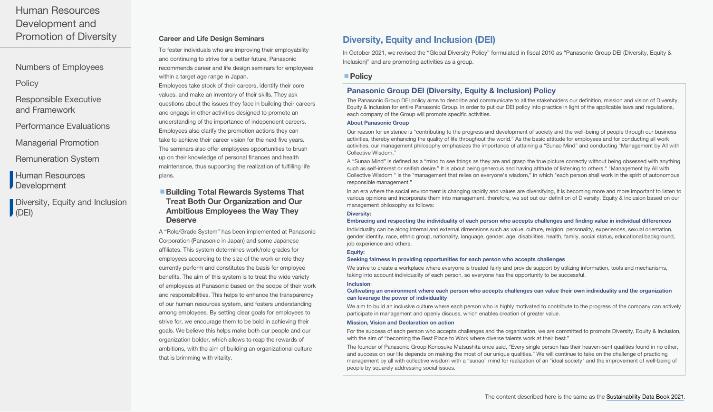<span id="page-3-0"></span>[Numbers of Employees](#page-0-0)

**[Policy](#page-0-0)** 

[Responsible Executive](#page-0-0)  and Framework

[Performance Evaluations](#page-1-0)

[Managerial Promotion](#page-1-0)

[Remuneration System](#page-1-0)

[Human Resources](#page-1-0)  Development

Diversity, Equity and Inclusion (DEI)

### Career and Life Design Seminars

To foster individuals who are improving their employability and continuing to strive for a better future, Panasonic recommends career and life design seminars for employees within a target age range in Japan.

Employees take stock of their careers, identify their core values, and make an inventory of their skills. They ask questions about the issues they face in building their careers and engage in other activities designed to promote an understanding of the importance of independent careers. Employees also clarify the promotion actions they can take to achieve their career vision for the next five years. The seminars also offer employees opportunities to brush up on their knowledge of personal finances and health maintenance, thus supporting the realization of fulfilling life plans.

### ■ Building Total Rewards Systems That Treat Both Our Organization and Our Ambitious Employees the Way They **Deserve**

A "Role/Grade System" has been implemented at Panasonic Corporation (Panasonic in Japan) and some Japanese affiliates. This system determines work/role grades for employees according to the size of the work or role they currently perform and constitutes the basis for employee benefits. The aim of this system is to treat the wide variety of employees at Panasonic based on the scope of their work and responsibilities. This helps to enhance the transparency of our human resources system, and fosters understanding among employees. By setting clear goals for employees to strive for, we encourage them to be bold in achieving their goals. We believe this helps make both our people and our organization bolder, which allows to reap the rewards of ambitions, with the aim of building an organizational culture that is brimming with vitality.

## Diversity, Equity and Inclusion (DEI)

In October 2021, we revised the "Global Diversity Policy" formulated in fiscal 2010 as "Panasonic Group DEI (Diversity, Equity & Inclusion)" and are promoting activities as a group.

### ■ Policy

### Panasonic Group DEI (Diversity, Equity & Inclusion) Policy

The Panasonic Group DEI policy aims to describe and communicate to all the stakeholders our definition, mission and vision of Diversity, Equity & Inclusion for entire Panasonic Group. In order to put our DEI policy into practice in light of the applicable laws and regulations, each company of the Group will promote specific activities.

#### About Panasonic Group

Our reason for existence is "contributing to the progress and development of society and the well-being of people through our business activities, thereby enhancing the quality of life throughout the world." As the basic attitude for employees and for conducting all work activities, our management philosophy emphasizes the importance of attaining a "Sunao Mind" and conducting "Management by All with Collective Wisdom."

A "Sunao Mind" is defined as a "mind to see things as they are and grasp the true picture correctly without being obsessed with anything such as self-interest or selfish desire." It is about being generous and having attitude of listening to others." "Management by All with Collective Wisdom " is the "management that relies on everyone's wisdom," in which "each person shall work in the spirit of autonomous responsible management."

In an era where the social environment is changing rapidly and values are diversifying, it is becoming more and more important to listen to various opinions and incorporate them into management, therefore, we set out our definition of Diversity, Equity & Inclusion based on our management philosophy as follows:

#### Diversity:

#### Embracing and respecting the individuality of each person who accepts challenges and finding value in individual differences

Individuality can be along internal and external dimensions such as value, culture, religion, personality, experiences, sexual orientation, gender identity, race, ethnic group, nationality, language, gender, age, disabilities, health, family, social status, educational background, job experience and others.

#### Equity:

#### Seeking fairness in providing opportunities for each person who accepts challenges

We strive to create a workplace where everyone is treated fairly and provide support by utilizing information, tools and mechanisms, taking into account individuality of each person, so everyone has the opportunity to be successful.

#### Inclusion:

#### Cultivating an environment where each person who accepts challenges can value their own individuality and the organization can leverage the power of individuality

We aim to build an inclusive culture where each person who is highly motivated to contribute to the progress of the company can actively participate in management and openly discuss, which enables creation of greater value.

#### Mission, Vision and Declaration on action

For the success of each person who accepts challenges and the organization, we are committed to promote Diversity, Equity & Inclusion, with the aim of "becoming the Best Place to Work where diverse talents work at their best."

The founder of Panasonic Group Konosuke Matsushita once said, "Every single person has their heaven-sent qualities found in no other, and success on our life depends on making the most of our unique qualities." We will continue to take on the challenge of practicing management by all with collective wisdom with a "sunao" mind for realization of an "ideal society" and the improvement of well-being of people by squarely addressing social issues.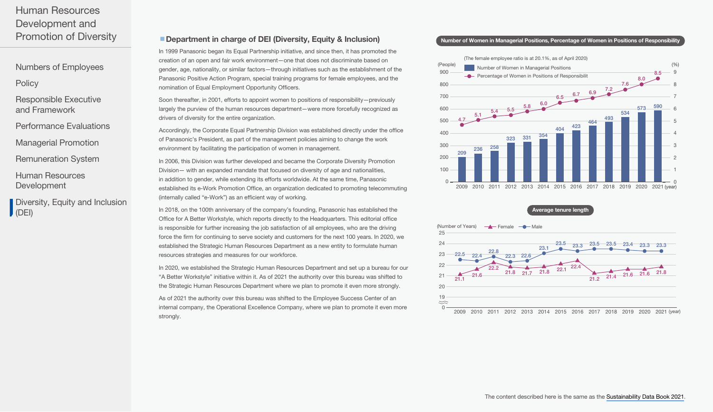[Numbers of Employees](#page-0-0)

**[Policy](#page-0-0)** 

[Responsible Executive](#page-0-0)  and Framework

[Performance Evaluations](#page-1-0)

[Managerial Promotion](#page-1-0)

[Remuneration System](#page-1-0)

[Human Resources](#page-1-0)  Development

[Diversity, Equity and Inclusion](#page-3-0) (DEI)

## ■ Department in charge of DEI (Diversity, Equity & Inclusion)

In 1999 Panasonic began its Equal Partnership initiative, and since then, it has promoted the creation of an open and fair work environment—one that does not discriminate based on gender, age, nationality, or similar factors—through initiatives such as the establishment of the Panasonic Positive Action Program, special training programs for female employees, and the nomination of Equal Employment Opportunity Officers.

Soon thereafter, in 2001, efforts to appoint women to positions of responsibility—previously largely the purview of the human resources department—were more forcefully recognized as drivers of diversity for the entire organization.

Accordingly, the Corporate Equal Partnership Division was established directly under the office of Panasonic's President, as part of the management policies aiming to change the work environment by facilitating the participation of women in management.

In 2006, this Division was further developed and became the Corporate Diversity Promotion Division— with an expanded mandate that focused on diversity of age and nationalities, in addition to gender, while extending its efforts worldwide. At the same time, Panasonic established its e-Work Promotion Office, an organization dedicated to promoting telecommuting (internally called "e-Work") as an efficient way of working.

In 2018, on the 100th anniversary of the company's founding, Panasonic has established the Office for A Better Workstyle, which reports directly to the Headquarters. This editorial office is responsible for further increasing the job satisfaction of all employees, who are the driving force the firm for continuing to serve society and customers for the next 100 years. In 2020, we established the Strategic Human Resources Department as a new entity to formulate human resources strategies and measures for our workforce.

In 2020, we established the Strategic Human Resources Department and set up a bureau for our "A Better Workstyle" initiative within it. As of 2021 the authority over this bureau was shifted to the Strategic Human Resources Department where we plan to promote it even more strongly.

As of 2021 the authority over this bureau was shifted to the Employee Success Center of an internal company, the Operational Excellence Company, where we plan to promote it even more strongly.

#### Number of Women in Managerial Positions, Percentage of Women in Positions of Responsibility



Average tenure length



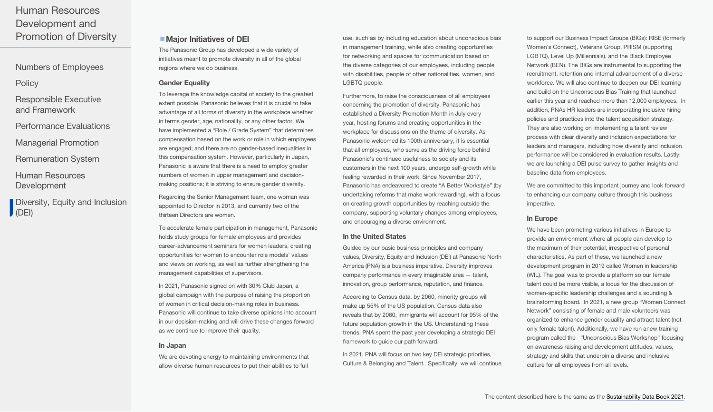[Numbers of Employees](#page-0-0)

**[Policy](#page-0-0)** 

[Responsible Executive](#page-0-0)  and Framework

[Performance Evaluations](#page-1-0)

[Managerial Promotion](#page-1-0)

[Remuneration System](#page-1-0)

[Human Resources](#page-1-0)  Development

[Diversity, Equity and Inclusion](#page-3-0) (DEI)

### ■ Major Initiatives of DEI

The Panasonic Group has developed a wide variety of initiatives meant to promote diversity in all of the global regions where we do business.

#### Gender Equality

To leverage the knowledge capital of society to the greatest extent possible, Panasonic believes that it is crucial to take advantage of all forms of diversity in the workplace whether in terms gender, age, nationality, or any other factor. We have implemented a "Role / Grade System" that determines compensation based on the work or role in which employees are engaged; and there are no gender-based inequalities in this compensation system. However, particularly in Japan, Panasonic is aware that there is a need to employ greater numbers of women in upper management and decisionmaking positions; it is striving to ensure gender diversity.

Regarding the Senior Management team, one woman was appointed to Director in 2013, and currently two of the thirteen Directors are women.

To accelerate female participation in management, Panasonic holds study groups for female employees and provides career-advancement seminars for women leaders, creating opportunities for women to encounter role models' values and views on working, as well as further strengthening the management capabilities of supervisors.

In 2021, Panasonic signed on with 30% Club Japan, a global campaign with the purpose of raising the proportion of women in critical decision-making roles in business. Panasonic will continue to take diverse opinions into account in our decision-making and will drive these changes forward as we continue to improve their quality.

#### In Japan

We are devoting energy to maintaining environments that allow diverse human resources to put their abilities to full use, such as by including education about unconscious bias in management training, while also creating opportunities for networking and spaces for communication based on the diverse categories of our employees, including people with disabilities, people of other nationalities, women, and LGBTQ people.

Furthermore, to raise the consciousness of all employees concerning the promotion of diversity, Panasonic has established a Diversity Promotion Month in July every year, hosting forums and creating opportunities in the workplace for discussions on the theme of diversity. As Panasonic welcomed its 100th anniversary, it is essential that all employees, who serve as the driving force behind Panasonic's continued usefulness to society and its customers in the next 100 years, undergo self-growth while feeling rewarded in their work. Since November 2017, Panasonic has endeavored to create "A Better Workstyle" (by undertaking reforms that make work rewarding), with a focus on creating growth opportunities by reaching outside the company, supporting voluntary changes among employees, and encouraging a diverse environment.

#### In the United States

Guided by our basic business principles and company values, Diversity, Equity and Inclusion (DEI) at Panasonic North America (PNA) is a business imperative. Diversity improves company performance in every imaginable area — talent, innovation, group performance, reputation, and finance.

According to Census data, by 2060, minority groups will make up 55% of the US population. Census data also reveals that by 2060, immigrants will account for 95% of the future population growth in the US. Understanding these trends, PNA spent the past year developing a strategic DEI framework to guide our path forward.

In 2021, PNA will focus on two key DEI strategic priorities, Culture & Belonging and Talent. Specifically, we will continue

to support our Business Impact Groups (BIGs): RISE (formerly Women's Connect), Veterans Group, PRISM (supporting LGBTQ), Level Up (Millennials), and the Black Employee Network (BEN). The BIGs are instrumental to supporting the recruitment, retention and internal advancement of a diverse workforce. We will also continue to deepen our DEI learning and build on the Unconscious Bias Training that launched earlier this year and reached more than 12,000 employees. In addition, PNAs HR leaders are incorporating inclusive hiring policies and practices into the talent acquisition strategy. They are also working on implementing a talent review process with clear diversity and inclusion expectations for leaders and managers, including how diversity and inclusion performance will be considered in evaluation results. Lastly, we are launching a DEI pulse survey to gather insights and baseline data from employees.

We are committed to this important journey and look forward to enhancing our company culture through this business imperative.

### In Europe

We have been promoting various initiatives in Europe to provide an environment where all people can develop to the maximum of their potential, irrespective of personal characteristics. As part of these, we launched a new development program in 2019 called Women in leadership (WIL). The goal was to provide a platform so our female talent could be more visible, a locus for the discussion of women-specific leadership challenges and a sounding & brainstorming board. In 2021, a new group "Women Connect Network" consisting of female and male volunteers was organized to enhance gender equality and attract talent (not only female talent). Additionally, we have run anew training program called the "Unconscious Bias Workshop" focusing on awareness raising and development attitudes, values, strategy and skills that underpin a diverse and inclusive culture for all employees from all levels.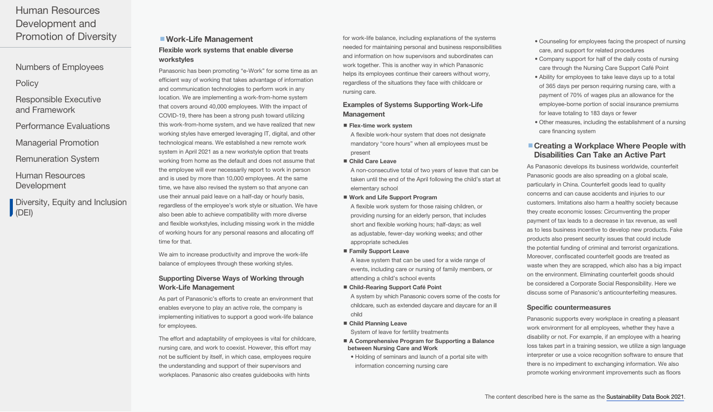[Numbers of Employees](#page-0-0)

**[Policy](#page-0-0)** 

- [Responsible Executive](#page-0-0)  and Framework
- [Performance Evaluations](#page-1-0)
- [Managerial Promotion](#page-1-0)
- [Remuneration System](#page-1-0)
- [Human Resources](#page-1-0)  Development
- [Diversity, Equity and Inclusion](#page-3-0) (DEI)

## ■ Work-Life Management Flexible work systems that enable diverse workstyles

Panasonic has been promoting "e-Work" for some time as an efficient way of working that takes advantage of information and communication technologies to perform work in any location. We are implementing a work-from-home system that covers around 40,000 employees. With the impact of COVID-19, there has been a strong push toward utilizing this work-from-home system, and we have realized that new working styles have emerged leveraging IT, digital, and other technological means. We established a new remote work system in April 2021 as a new workstyle option that treats working from home as the default and does not assume that the employee will ever necessarily report to work in person and is used by more than 10,000 employees. At the same time, we have also revised the system so that anyone can use their annual paid leave on a half-day or hourly basis, regardless of the employee's work style or situation. We have also been able to achieve compatibility with more diverse and flexible workstyles, including missing work in the middle of working hours for any personal reasons and allocating off time for that.

We aim to increase productivity and improve the work-life balance of employees through these working styles.

### Supporting Diverse Ways of Working through Work-Life Management

As part of Panasonic's efforts to create an environment that enables everyone to play an active role, the company is implementing initiatives to support a good work-life balance for employees.

The effort and adaptability of employees is vital for childcare, nursing care, and work to coexist. However, this effort may not be sufficient by itself, in which case, employees require the understanding and support of their supervisors and workplaces. Panasonic also creates guidebooks with hints

for work-life balance, including explanations of the systems needed for maintaining personal and business responsibilities and information on how supervisors and subordinates can work together. This is another way in which Panasonic helps its employees continue their careers without worry, regardless of the situations they face with childcare or nursing care.

#### Examples of Systems Supporting Work-Life Management

- $\blacksquare$  Flex-time work system
- A flexible work-hour system that does not designate mandatory "core hours" when all employees must be present
- Child Care Leave

A non-consecutive total of two years of leave that can be taken until the end of the April following the child's start at elementary school

- Work and Life Support Program
- A flexible work system for those raising children, or providing nursing for an elderly person, that includes short and flexible working hours; half-days; as well as adjustable, fewer-day working weeks; and other appropriate schedules
- Family Support Leave

A leave system that can be used for a wide range of events, including care or nursing of family members, or attending a child's school events

- Child-Rearing Support Café Point A system by which Panasonic covers some of the costs for childcare, such as extended daycare and daycare for an ill child
- Child Planning Leave

System of leave for fertility treatments

- A Comprehensive Program for Supporting a Balance between Nursing Care and Work
	- Holding of seminars and launch of a portal site with information concerning nursing care
- Counseling for employees facing the prospect of nursing care, and support for related procedures
- Company support for half of the daily costs of nursing care through the Nursing Care Support Café Point
- Ability for employees to take leave days up to a total of 365 days per person requiring nursing care, with a payment of 70% of wages plus an allowance for the employee-borne portion of social insurance premiums for leave totaling to 183 days or fewer
- Other measures, including the establishment of a nursing care financing system

### ■ Creating a Workplace Where People with Disabilities Can Take an Active Part

As Panasonic develops its business worldwide, counterfeit Panasonic goods are also spreading on a global scale, particularly in China. Counterfeit goods lead to quality concerns and can cause accidents and injuries to our customers. Imitations also harm a healthy society because they create economic losses: Circumventing the proper payment of tax leads to a decrease in tax revenue, as well as to less business incentive to develop new products. Fake products also present security issues that could include the potential funding of criminal and terrorist organizations. Moreover, confiscated counterfeit goods are treated as waste when they are scrapped, which also has a big impact on the environment. Eliminating counterfeit goods should be considered a Corporate Social Responsibility. Here we discuss some of Panasonic's anticounterfeiting measures.

#### Specific countermeasures

Panasonic supports every workplace in creating a pleasant work environment for all employees, whether they have a disability or not. For example, if an employee with a hearing loss takes part in a training session, we utilize a sign language interpreter or use a voice recognition software to ensure that there is no impediment to exchanging information. We also promote working environment improvements such as floors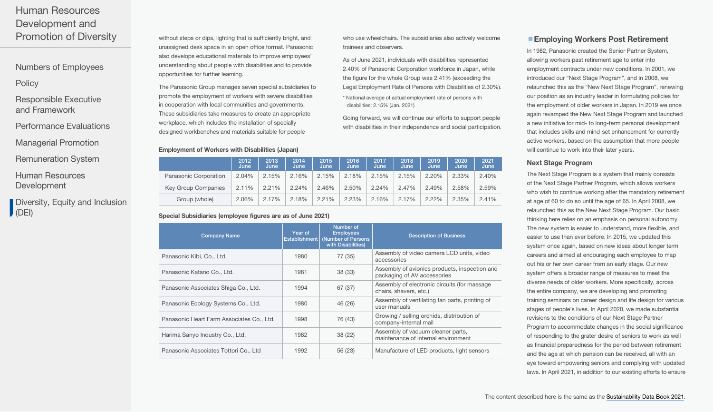[Numbers of Employees](#page-0-0)

## **[Policy](#page-0-0)**

[Responsible Executive](#page-0-0)  and Framework

- [Performance Evaluations](#page-1-0)
- [Managerial Promotion](#page-1-0)
- [Remuneration System](#page-1-0)
- [Human Resources](#page-1-0)  Development
- [Diversity, Equity and Inclusion](#page-3-0)  $\bigcup$  (DEI)

without steps or dips, lighting that is sufficiently bright, and unassigned desk space in an open office format. Panasonic also develops educational materials to improve employees' understanding about people with disabilities and to provide opportunities for further learning.

The Panasonic Group manages seven special subsidiaries to promote the employment of workers with severe disabilities in cooperation with local communities and governments. These subsidiaries take measures to create an appropriate workplace, which includes the installation of specially designed workbenches and materials suitable for people

#### Employment of Workers with Disabilities (Japan)

who use wheelchairs. The subsidiaries also actively welcome trainees and observers.

As of June 2021, individuals with disabilities represented 2.40% of Panasonic Corporation workforce in Japan, while the figure for the whole Group was 2.41% (exceeding the Legal Employment Rate of Persons with Disabilities of 2.30%).

\* National average of actual employment rate of persons with disabilities: 2.15% (Jan. 2021)

Going forward, we will continue our efforts to support people with disabilities in their independence and social participation.

|                            | 2012<br>June | 2013<br>June | 2014<br>June | 2015<br>June | 2016<br>June | 2017<br>June | 2018<br>June | 2019<br>June | 2020<br>June | 2021<br>June |
|----------------------------|--------------|--------------|--------------|--------------|--------------|--------------|--------------|--------------|--------------|--------------|
| Panasonic Corporation      | 2.04%        | 2.15%        | 2.16%        | 2.15%        | 2.18%        | 2.15%        | 2.15%        | 2.20%        | 2.33%        | 2.40%        |
| <b>Key Group Companies</b> | 2.11%        | 2.21%        | 2.24%        | 2.46%        | 2.50%        | 2.24%        | 2.47%        | 2.49%        | 2.58%        | 2.59%        |
| Group (whole)              | 2.06%        | 2.17%        | 2.18%        | 2.21%        | 2.23%        | 2.16%        | 2.17%        | 2.22%        | 2.35%        | 2.41%        |

#### Special Subsidiaries (employee figures are as of June 2021)

| <b>Company Name</b>                       | Year of<br>Establishment | Number of<br><b>Employees</b><br>(Number of Persons<br>with Disabilities) | <b>Description of Business</b>                                               |
|-------------------------------------------|--------------------------|---------------------------------------------------------------------------|------------------------------------------------------------------------------|
| Panasonic Kibi, Co., Ltd.                 | 1980                     | 77 (35)                                                                   | Assembly of video camera LCD units, video<br>accessories                     |
| Panasonic Katano Co., Ltd.                | 1981                     | 38(33)                                                                    | Assembly of avionics products, inspection and<br>packaging of AV accessories |
| Panasonic Associates Shiga Co., Ltd.      | 1994                     | 67 (37)                                                                   | Assembly of electronic circuits (for massage<br>chairs, shavers, etc.)       |
| Panasonic Ecology Systems Co., Ltd.       | 1980                     | 46 (26)                                                                   | Assembly of ventilating fan parts, printing of<br>user manuals               |
| Panasonic Heart Farm Associates Co., Ltd. | 1998                     | 76 (43)                                                                   | Growing / selling orchids, distribution of<br>company-internal mail          |
| Harima Sanyo Industry Co., Ltd.           | 1982                     | 38 (22)                                                                   | Assembly of vacuum cleaner parts,<br>maintenance of internal environment     |
| Panasonic Associates Tottori Co., Ltd     | 1992                     | 56 (23)                                                                   | Manufacture of LED products, light sensors                                   |

### ■ Employing Workers Post Retirement

In 1982, Panasonic created the Senior Partner System, allowing workers past retirement age to enter into employment contracts under new conditions. In 2001, we introduced our "Next Stage Program", and in 2008, we relaunched this as the "New Next Stage Program", renewing our position as an industry leader in formulating policies for the employment of older workers in Japan. In 2019 we once again revamped the New Next Stage Program and launched a new initiative for mid- to long-term personal development that includes skills and mind-set enhancement for currently active workers, based on the assumption that more people will continue to work into their later years.

#### Next Stage Program

The Next Stage Program is a system that mainly consists of the Next Stage Partner Program, which allows workers who wish to continue working after the mandatory retirement at age of 60 to do so until the age of 65. In April 2008, we relaunched this as the New Next Stage Program. Our basic thinking here relies on an emphasis on personal autonomy. The new system is easier to understand, more flexible, and easier to use than ever before. In 2015, we updated this system once again, based on new ideas about longer term careers and aimed at encouraging each employee to map out his or her own career from an early stage. Our new system offers a broader range of measures to meet the diverse needs of older workers. More specifically, across the entire company, we are developing and promoting training seminars on career design and life design for various stages of people's lives. In April 2020, we made substantial revisions to the conditions of our Next Stage Partner Program to accommodate changes in the social significance of responding to the grater desire of seniors to work as well as financial preparedness for the period between retirement and the age at which pension can be received, all with an eye toward empowering seniors and complying with updated laws. In April 2021, in addition to our existing efforts to ensure